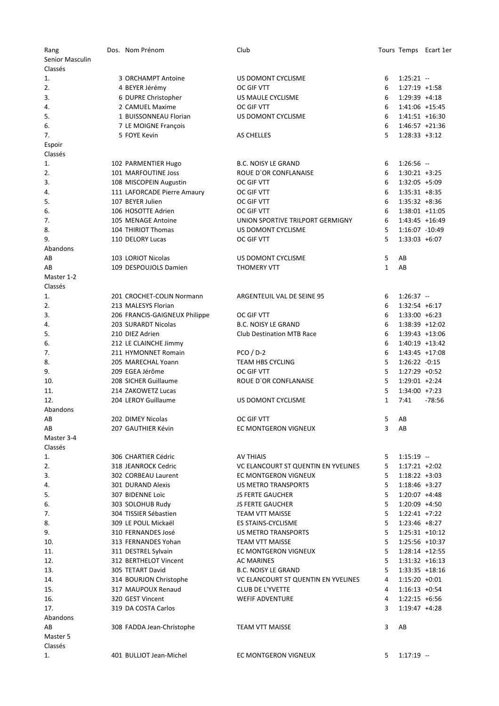| Rang            | Dos. Nom Prénom                            | Club                                          |              |                                  | Tours Temps Ecart 1er |
|-----------------|--------------------------------------------|-----------------------------------------------|--------------|----------------------------------|-----------------------|
| Senior Masculin |                                            |                                               |              |                                  |                       |
| Classés         |                                            |                                               |              |                                  |                       |
| 1.              | 3 ORCHAMPT Antoine                         | US DOMONT CYCLISME                            | 6            | $1:25:21 -$                      |                       |
| 2.              | 4 BEYER Jérémy                             | OC GIF VTT                                    | 6            | $1:27:19$ +1:58                  |                       |
| 3.              | 6 DUPRE Christopher                        | US MAULE CYCLISME                             | 6            | $1:29:39$ +4:18                  |                       |
| 4.              | 2 CAMUEL Maxime                            | OC GIF VTT                                    | 6            | 1:41:06 +15:45                   |                       |
| 5.              | 1 BUISSONNEAU Florian                      | US DOMONT CYCLISME                            | 6            | 1:41:51 +16:30                   |                       |
| 6.              | 7 LE MOIGNE François                       |                                               | 6            | $1:46:57$ +21:36                 |                       |
| 7.              | 5 FOYE Kevin                               | AS CHELLES                                    | 5            | $1:28:33 +3:12$                  |                       |
| Espoir          |                                            |                                               |              |                                  |                       |
| Classés         |                                            |                                               |              |                                  |                       |
| 1.              | 102 PARMENTIER Hugo                        | <b>B.C. NOISY LE GRAND</b>                    | 6            | $1:26:56 -$                      |                       |
| 2.              | 101 MARFOUTINE Joss                        | ROUE D'OR CONFLANAISE                         | 6            | $1:30:21 +3:25$                  |                       |
| 3.              | 108 MISCOPEIN Augustin                     | OC GIF VTT                                    | 6            | 1:32:05 +5:09                    |                       |
| 4.              | 111 LAFORCADE Pierre Amaury                | OC GIF VTT                                    | 6            | $1:35:31 + 8:35$                 |                       |
| 5.              | 107 BEYER Julien                           | OC GIF VTT                                    | 6            | $1:35:32 +8:36$                  |                       |
| 6.              | 106 HOSOTTE Adrien                         | OC GIF VTT                                    | 6            | 1:38:01 +11:05                   |                       |
| 7.              | 105 MENAGE Antoine                         | UNION SPORTIVE TRILPORT GERMIGNY              | 6            | 1:43:45 +16:49                   |                       |
| 8.              | 104 THIRIOT Thomas                         | US DOMONT CYCLISME                            | 5            | 1:16:07 -10:49                   |                       |
| 9.              | 110 DELORY Lucas                           | OC GIF VTT                                    | 5            | $1:33:03 +6:07$                  |                       |
| Abandons        |                                            |                                               |              |                                  |                       |
| AB              | 103 LORIOT Nicolas                         | US DOMONT CYCLISME                            | 5            | AB                               |                       |
| AB              | 109 DESPOUJOLS Damien                      | <b>THOMERY VTT</b>                            | $\mathbf{1}$ | AB                               |                       |
| Master 1-2      |                                            |                                               |              |                                  |                       |
| Classés         |                                            |                                               |              |                                  |                       |
| 1.              | 201 CROCHET-COLIN Normann                  | ARGENTEUIL VAL DE SEINE 95                    | 6            | $1:26:37 -$                      |                       |
| 2.              | 213 MALESYS Florian                        |                                               | 6            | $1:32:54 +6:17$                  |                       |
| 3.              | 206 FRANCIS-GAIGNEUX Philippe              | OC GIF VTT                                    | 6            | $1:33:00 + 6:23$                 |                       |
| 4.              | 203 SURARDT Nicolas                        | <b>B.C. NOISY LE GRAND</b>                    | 6            | 1:38:39 +12:02                   |                       |
| 5.              | 210 DIEZ Adrien                            | <b>Club Destination MTB Race</b>              | 6            | 1:39:43 +13:06                   |                       |
| 6.              | 212 LE CLAINCHE Jimmy                      |                                               | 6            | 1:40:19 +13:42                   |                       |
| 7.              | 211 HYMONNET Romain                        | $PCO / D-2$                                   | 6            | 1:43:45 +17:08                   |                       |
| 8.              | 205 MARECHAL Yoann                         | <b>TEAM HBS CYCLING</b>                       | 5            | 1:26:22 -0:15                    |                       |
| 9.              | 209 EGEA Jérôme                            | OC GIF VTT                                    | 5            | $1:27:29 +0:52$                  |                       |
| 10.             | 208 SICHER Guillaume                       | <b>ROUE D'OR CONFLANAISE</b>                  | 5            | 1:29:01 +2:24                    |                       |
| 11.             | 214 ZAKOWETZ Lucas                         |                                               | 5            | $1:34:00 +7:23$                  |                       |
| 12.             | 204 LEROY Guillaume                        | US DOMONT CYCLISME                            | $\mathbf{1}$ | 7:41                             | $-78:56$              |
| Abandons        |                                            |                                               |              |                                  |                       |
| AB              | 202 DIMEY Nicolas                          | OC GIF VTT                                    | 5            | AB                               |                       |
| AB              | 207 GAUTHIER Kévin                         | EC MONTGERON VIGNEUX                          | 3            | AB                               |                       |
| Master 3-4      |                                            |                                               |              |                                  |                       |
| Classés         |                                            |                                               |              |                                  |                       |
| 1.              | 306 CHARTIER Cédric                        | AV THIAIS                                     | 5            | $1:15:19 -$                      |                       |
| 2.              | 318 JEANROCK Cedric                        | VC ELANCOURT ST QUENTIN EN YVELINES           | 5            | $1:17:21 +2:02$                  |                       |
| 3.              | 302 CORBEAU Laurent                        | EC MONTGERON VIGNEUX                          | 5            | $1:18:22 +3:03$                  |                       |
| 4.              | 301 DURAND Alexis                          | US METRO TRANSPORTS                           | 5            | $1:18:46$ +3:27                  |                       |
| 5.              | 307 BIDENNE Loïc                           | <b>JS FERTE GAUCHER</b>                       | 5            | $1:20:07$ +4:48                  |                       |
| 6.              | 303 SOLOHUB Rudy<br>304 TISSIER Sébastien  | <b>JS FERTE GAUCHER</b>                       | 5            | 1:20:09 +4:50                    |                       |
| 7.              |                                            | <b>TEAM VTT MAISSE</b>                        | 5            | $1:22:41$ +7:22                  |                       |
| 8.<br>9.        | 309 LE POUL Mickaël                        | ES STAINS-CYCLISME                            | 5            | $1:23:46$ +8:27                  |                       |
|                 | 310 FERNANDES José                         | US METRO TRANSPORTS<br><b>TEAM VTT MAISSE</b> | 5<br>5       | $1:25:31 + 10:12$                |                       |
| 10.<br>11.      | 313 FERNANDES Yohan<br>311 DESTREL Sylvain | EC MONTGERON VIGNEUX                          | 5            | 1:25:56 +10:37<br>1:28:14 +12:55 |                       |
| 12.             | 312 BERTHELOT Vincent                      | <b>AC MARINES</b>                             | 5            | $1:31:32 +16:13$                 |                       |
| 13.             | 305 TETART David                           | <b>B.C. NOISY LE GRAND</b>                    | 5            | $1:33:35 +18:16$                 |                       |
| 14.             | 314 BOURJON Christophe                     | VC ELANCOURT ST QUENTIN EN YVELINES           | 4            | $1:15:20 +0:01$                  |                       |
| 15.             | 317 MAUPOUX Renaud                         | <b>CLUB DE L'YVETTE</b>                       | 4            | $1:16:13 +0:54$                  |                       |
| 16.             | 320 GEST Vincent                           | <b>WEFIF ADVENTURE</b>                        | 4            | $1:22:15 +6:56$                  |                       |
| 17.             | 319 DA COSTA Carlos                        |                                               | 3            | $1:19:47 +4:28$                  |                       |
| Abandons        |                                            |                                               |              |                                  |                       |
| AB              | 308 FADDA Jean-Christophe                  | <b>TEAM VTT MAISSE</b>                        | 3            | AB                               |                       |
| Master 5        |                                            |                                               |              |                                  |                       |
| Classés         |                                            |                                               |              |                                  |                       |
| 1.              | 401 BULLIOT Jean-Michel                    | EC MONTGERON VIGNEUX                          | 5            | $1:17:19 -$                      |                       |
|                 |                                            |                                               |              |                                  |                       |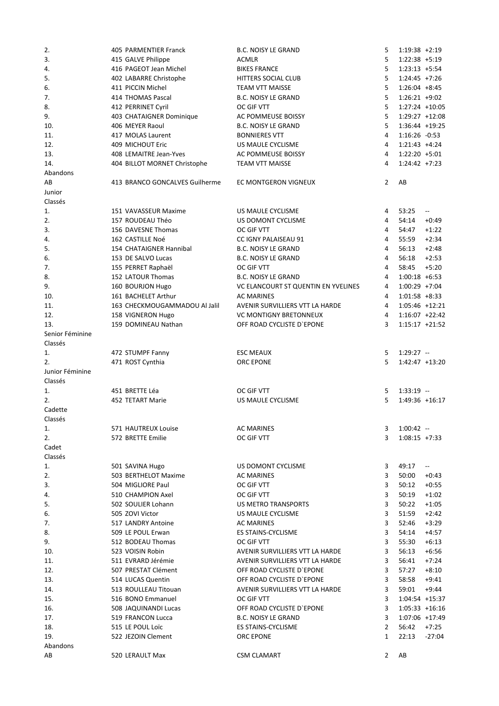| 2.              | 405 PARMENTIER Franck          | <b>B.C. NOISY LE GRAND</b>          | 5              | $1:19:38 + 2:19$  |                              |
|-----------------|--------------------------------|-------------------------------------|----------------|-------------------|------------------------------|
| 3.              | 415 GALVE Philippe             | <b>ACMLR</b>                        | 5              | 1:22:38 +5:19     |                              |
| 4.              | 416 PAGEOT Jean Michel         | <b>BIKES FRANCE</b>                 | 5              | $1:23:13 +5:54$   |                              |
| 5.              | 402 LABARRE Christophe         | HITTERS SOCIAL CLUB                 | 5              | $1:24:45$ +7:26   |                              |
| 6.              | 411 PICCIN Michel              | <b>TEAM VTT MAISSE</b>              | 5              | $1:26:04$ +8:45   |                              |
| 7.              | 414 THOMAS Pascal              | <b>B.C. NOISY LE GRAND</b>          | 5              | $1:26:21 +9:02$   |                              |
|                 |                                |                                     |                |                   |                              |
| 8.              | 412 PERRINET Cyril             | OC GIF VTT                          | 5              | 1:27:24 +10:05    |                              |
| 9.              | 403 CHATAIGNER Dominique       | AC POMMEUSE BOISSY                  | 5              | $1:29:27 +12:08$  |                              |
| 10.             | 406 MEYER Raoul                | <b>B.C. NOISY LE GRAND</b>          | 5              | 1:36:44 +19:25    |                              |
| 11.             | 417 MOLAS Laurent              | <b>BONNIERES VTT</b>                | 4              | 1:16:26 -0:53     |                              |
| 12.             | 409 MICHOUT Eric               | US MAULE CYCLISME                   | 4              | $1:21:43 +4:24$   |                              |
| 13.             | 408 LEMAITRE Jean-Yves         | AC POMMEUSE BOISSY                  | 4              | $1:22:20 + 5:01$  |                              |
| 14.             | 404 BILLOT MORNET Christophe   | <b>TEAM VTT MAISSE</b>              | 4              | $1:24:42 +7:23$   |                              |
| Abandons        |                                |                                     |                |                   |                              |
| AB              | 413 BRANCO GONCALVES Guilherme | EC MONTGERON VIGNEUX                | $\overline{2}$ | AB                |                              |
| Junior          |                                |                                     |                |                   |                              |
|                 |                                |                                     |                |                   |                              |
| Classés         |                                |                                     |                |                   |                              |
| 1.              | 151 VAVASSEUR Maxime           | US MAULE CYCLISME                   | 4              | 53:25             | $\overline{\phantom{a}}$     |
| 2.              | 157 ROUDEAU Théo               | US DOMONT CYCLISME                  | 4              | 54:14             | $+0:49$                      |
| 3.              | 156 DAVESNE Thomas             | OC GIF VTT                          | 4              | 54:47             | $+1:22$                      |
| 4.              | 162 CASTILLE Noé               | CC IGNY PALAISEAU 91                | 4              | 55:59             | $+2:34$                      |
| 5.              | 154 CHATAIGNER Hannibal        | <b>B.C. NOISY LE GRAND</b>          | 4              | 56:13             | $+2:48$                      |
| 6.              | 153 DE SALVO Lucas             | <b>B.C. NOISY LE GRAND</b>          | 4              | 56:18             | $+2:53$                      |
| 7.              | 155 PERRET Raphaël             | OC GIF VTT                          | 4              | 58:45             | $+5:20$                      |
|                 |                                |                                     | 4              |                   |                              |
| 8.              | 152 LATOUR Thomas              | <b>B.C. NOISY LE GRAND</b>          |                | $1:00:18 + 6:53$  |                              |
| 9.              | 160 BOURJON Hugo               | VC ELANCOURT ST QUENTIN EN YVELINES | 4              | $1:00:29$ +7:04   |                              |
| 10.             | 161 BACHELET Arthur            | <b>AC MARINES</b>                   | 4              | $1:01:58 + 8:33$  |                              |
| 11.             | 163 CHECKMOUGAMMADOU Al Jalil  | AVENIR SURVILLIERS VTT LA HARDE     | 4              | 1:05:46 +12:21    |                              |
| 12.             | 158 VIGNERON Hugo              | <b>VC MONTIGNY BRETONNEUX</b>       | 4              | $1:16:07 +22:42$  |                              |
| 13.             | 159 DOMINEAU Nathan            | OFF ROAD CYCLISTE D'EPONE           | 3              | $1:15:17 + 21:52$ |                              |
| Senior Féminine |                                |                                     |                |                   |                              |
| Classés         |                                |                                     |                |                   |                              |
| 1.              | 472 STUMPF Fanny               | <b>ESC MEAUX</b>                    | 5              | $1:29:27 -$       |                              |
| 2.              |                                |                                     | 5              |                   |                              |
|                 | 471 ROST Cynthia               | <b>ORC EPONE</b>                    |                | 1:42:47 +13:20    |                              |
| Junior Féminine |                                |                                     |                |                   |                              |
| Classés         |                                |                                     |                |                   |                              |
| 1.              | 451 BRETTE Léa                 | OC GIF VTT                          | 5              | $1:33:19 -$       |                              |
| 2.              | 452 TETART Marie               | US MAULE CYCLISME                   | 5              |                   | 1:49:36 +16:17               |
| Cadette         |                                |                                     |                |                   |                              |
| Classés         |                                |                                     |                |                   |                              |
| 1.              | 571 HAUTREUX Louise            | <b>AC MARINES</b>                   | 3              | $1:00:42 -$       |                              |
| 2.              | 572 BRETTE Emilie              | OC GIF VTT                          | 3              | $1:08:15 +7:33$   |                              |
|                 |                                |                                     |                |                   |                              |
| Cadet           |                                |                                     |                |                   |                              |
| Classés         |                                |                                     |                |                   |                              |
| 1.              | 501 SAVINA Hugo                | US DOMONT CYCLISME                  | 3              | 49:17             | $\qquad \qquad \blacksquare$ |
| 2.              | 503 BERTHELOT Maxime           | AC MARINES                          | 3              | 50:00             | $+0:43$                      |
| 3.              | 504 MIGLIORE Paul              | OC GIF VTT                          | 3              | 50:12             | $+0:55$                      |
| 4.              | 510 CHAMPION Axel              | OC GIF VTT                          | 3              | 50:19             | $+1:02$                      |
| 5.              | 502 SOULIER Lohann             | US METRO TRANSPORTS                 | 3              | 50:22             | $+1:05$                      |
| 6.              | 505 ZOVI Victor                | US MAULE CYCLISME                   | 3              | 51:59             | $+2:42$                      |
| 7.              | 517 LANDRY Antoine             | <b>AC MARINES</b>                   | 3              | 52:46             | $+3:29$                      |
| 8.              | 509 LE POUL Erwan              | ES STAINS-CYCLISME                  | 3              | 54:14             | $+4:57$                      |
|                 |                                |                                     |                |                   |                              |
| 9.              | 512 BODEAU Thomas              | OC GIF VTT                          | 3              | 55:30             | $+6:13$                      |
| 10.             | 523 VOISIN Robin               | AVENIR SURVILLIERS VTT LA HARDE     | 3              | 56:13             | $+6:56$                      |
| 11.             | 511 EVRARD Jérémie             | AVENIR SURVILLIERS VTT LA HARDE     | 3              | 56:41             | $+7:24$                      |
| 12.             | 507 PRESTAT Clément            | OFF ROAD CYCLISTE D'EPONE           | 3              | 57:27             | $+8:10$                      |
| 13.             | 514 LUCAS Quentin              | OFF ROAD CYCLISTE D'EPONE           | 3              | 58:58             | $+9:41$                      |
| 14.             | 513 ROULLEAU Titouan           | AVENIR SURVILLIERS VTT LA HARDE     | 3              | 59:01             | +9:44                        |
| 15.             | 516 BONO Emmanuel              | OC GIF VTT                          | 3              |                   | 1:04:54 +15:37               |
| 16.             | 508 JAQUINANDI Lucas           | OFF ROAD CYCLISTE D'EPONE           | 3              |                   | $1:05:33 + 16:16$            |
| 17.             | 519 FRANCON Lucca              | <b>B.C. NOISY LE GRAND</b>          | 3              |                   | 1:07:06 +17:49               |
|                 |                                |                                     |                |                   |                              |
| 18.             | 515 LE POUL Loïc               | ES STAINS-CYCLISME                  | 2              | 56:42             | $+7:25$                      |
| 19.             | 522 JEZOIN Clement             | ORC EPONE                           | 1              | 22:13             | $-27:04$                     |
| Abandons        |                                |                                     |                |                   |                              |
| AB              | 520 LERAULT Max                | <b>CSM CLAMART</b>                  | 2              | AB                |                              |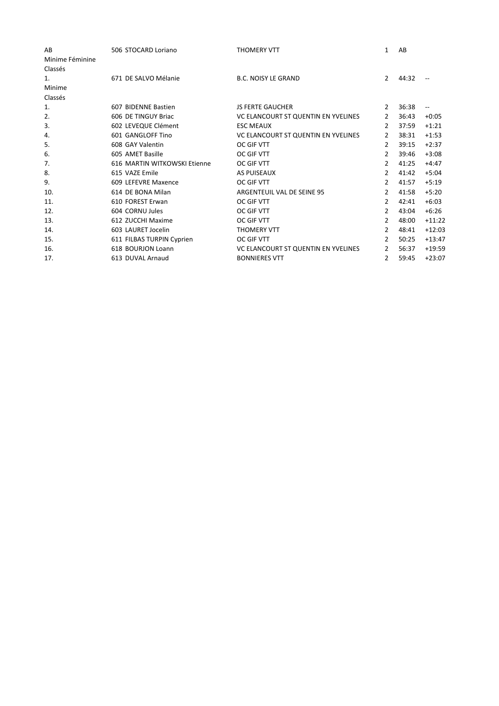| AB              | 506 STOCARD Loriano          | <b>THOMERY VTT</b>                  | $\mathbf{1}$   | AB    |                          |
|-----------------|------------------------------|-------------------------------------|----------------|-------|--------------------------|
| Minime Féminine |                              |                                     |                |       |                          |
| Classés         |                              |                                     |                |       |                          |
| 1.              | 671 DE SALVO Mélanie         | <b>B.C. NOISY LE GRAND</b>          | 2              | 44:32 |                          |
| Minime          |                              |                                     |                |       |                          |
| Classés         |                              |                                     |                |       |                          |
| 1.              | 607 BIDENNE Bastien          | <b>JS FERTE GAUCHER</b>             | 2              | 36:38 | $\overline{\phantom{m}}$ |
| 2.              | 606 DE TINGUY Briac          | VC ELANCOURT ST QUENTIN EN YVELINES | 2              | 36:43 | $+0:05$                  |
| 3.              | 602 LEVEQUE Clément          | <b>ESC MEAUX</b>                    | 2              | 37:59 | $+1:21$                  |
| 4.              | 601 GANGLOFF Tino            | VC ELANCOURT ST QUENTIN EN YVELINES | 2              | 38:31 | $+1:53$                  |
| 5.              | 608 GAY Valentin             | OC GIF VTT                          | 2              | 39:15 | $+2:37$                  |
| 6.              | 605 AMET Basille             | OC GIF VTT                          | 2              | 39:46 | $+3:08$                  |
| 7.              | 616 MARTIN WITKOWSKI Etienne | OC GIF VTT                          | $\overline{2}$ | 41:25 | $+4:47$                  |
| 8.              | 615 VAZE Emile               | AS PUISEAUX                         | $\overline{2}$ | 41:42 | $+5:04$                  |
| 9.              | 609 LEFEVRE Maxence          | OC GIF VTT                          | 2              | 41:57 | $+5:19$                  |
| 10.             | 614 DE BONA Milan            | ARGENTEUIL VAL DE SEINE 95          | 2              | 41:58 | $+5:20$                  |
| 11.             | 610 FOREST Erwan             | OC GIF VTT                          | $\overline{2}$ | 42:41 | $+6:03$                  |
| 12.             | 604 CORNU Jules              | OC GIF VTT                          | $\overline{2}$ | 43:04 | $+6:26$                  |
| 13.             | 612 ZUCCHI Maxime            | OC GIF VTT                          | $\overline{2}$ | 48:00 | $+11:22$                 |
| 14.             | 603 LAURET Jocelin           | <b>THOMERY VTT</b>                  | $\overline{2}$ | 48:41 | $+12:03$                 |
| 15.             | 611 FILBAS TURPIN Cyprien    | OC GIF VTT                          | $\overline{2}$ | 50:25 | $+13:47$                 |
| 16.             | 618 BOURJON Loann            | VC ELANCOURT ST QUENTIN EN YVELINES | $\overline{2}$ | 56:37 | $+19:59$                 |
| 17.             | 613 DUVAL Arnaud             | <b>BONNIERES VTT</b>                | $\mathbf{2}$   | 59:45 | $+23:07$                 |
|                 |                              |                                     |                |       |                          |